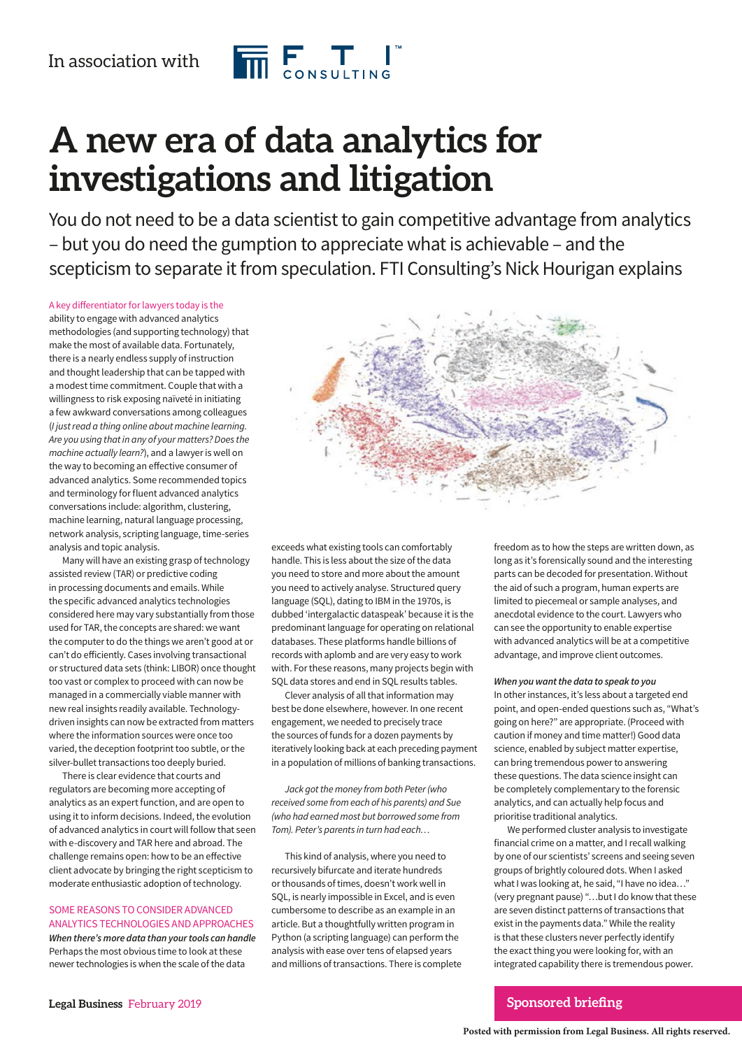

# **A new era of data analytics for investigations and litigation**

You do not need to be a data scientist to gain competitive advantage from analytics – but you do need the gumption to appreciate what is achievable – and the scepticism to separate it from speculation. FTI Consulting's Nick Hourigan explains

# A key differentiator for lawyers today is the

ability to engage with advanced analytics methodologies (and supporting technology) that make the most of available data. Fortunately, there is a nearly endless supply of instruction and thought leadership that can be tapped with a modest time commitment. Couple that with a willingness to risk exposing naïveté in initiating a few awkward conversations among colleagues (I just read a thing online about machine learning. Are you using that in any of your matters? Does the machine actually learn?), and a lawyer is well on the way to becoming an effective consumer of advanced analytics. Some recommended topics and terminology for fluent advanced analytics conversations include: algorithm, clustering, machine learning, natural language processing, network analysis, scripting language, time-series analysis and topic analysis.

Many will have an existing grasp of technology assisted review (TAR) or predictive coding in processing documents and emails. While the specific advanced analytics technologies considered here may vary substantially from those used for TAR, the concepts are shared: we want the computer to do the things we aren't good at or can't do efficiently. Cases involving transactional or structured data sets (think: LIBOR) once thought too vast or complex to proceed with can now be managed in a commercially viable manner with new real insights readily available. Technologydriven insights can now be extracted from matters where the information sources were once too varied, the deception footprint too subtle, or the silver-bullet transactions too deeply buried.

There is clear evidence that courts and regulators are becoming more accepting of analytics as an expert function, and are open to using it to inform decisions. Indeed, the evolution of advanced analytics in court will follow that seen with e-discovery and TAR here and abroad. The challenge remains open: how to be an effective client advocate by bringing the right scepticism to moderate enthusiastic adoption of technology.

# SOME REASONS TO CONSIDER ADVANCED ANALYTICS TECHNOLOGIES AND APPROACHES

**When there's more data than your tools can handle** Perhaps the most obvious time to look at these newer technologies is when the scale of the data



exceeds what existing tools can comfortably handle. This is less about the size of the data you need to store and more about the amount you need to actively analyse. Structured query language (SQL), dating to IBM in the 1970s, is dubbed 'intergalactic dataspeak' because it is the predominant language for operating on relational databases. These platforms handle billions of records with aplomb and are very easy to work with. For these reasons, many projects begin with SQL data stores and end in SQL results tables.

Clever analysis of all that information may best be done elsewhere, however. In one recent engagement, we needed to precisely trace the sources of funds for a dozen payments by iteratively looking back at each preceding payment in a population of millions of banking transactions.

Jack got the money from both Peter (who received some from each of his parents) and Sue (who had earned most but borrowed some from Tom). Peter's parents in turn had each…

This kind of analysis, where you need to recursively bifurcate and iterate hundreds or thousands of times, doesn't work well in SQL, is nearly impossible in Excel, and is even cumbersome to describe as an example in an article. But a thoughtfully written program in Python (a scripting language) can perform the analysis with ease over tens of elapsed years and millions of transactions. There is complete freedom as to how the steps are written down, as long as it's forensically sound and the interesting parts can be decoded for presentation. Without the aid of such a program, human experts are limited to piecemeal or sample analyses, and anecdotal evidence to the court. Lawyers who can see the opportunity to enable expertise with advanced analytics will be at a competitive advantage, and improve client outcomes.

#### **When you want the data to speak to you**

In other instances, it's less about a targeted end point, and open-ended questions such as, "What's going on here?" are appropriate. (Proceed with caution if money and time matter!) Good data science, enabled by subject matter expertise, can bring tremendous power to answering these questions. The data science insight can be completely complementary to the forensic analytics, and can actually help focus and prioritise traditional analytics.

We performed cluster analysis to investigate financial crime on a matter, and I recall walking by one of our scientists' screens and seeing seven groups of brightly coloured dots. When I asked what I was looking at, he said, "I have no idea…" (very pregnant pause) "…but I do know that these are seven distinct patterns of transactions that exist in the payments data." While the reality is that these clusters never perfectly identify the exact thing you were looking for, with an integrated capability there is tremendous power.

# **Sponsored briefing**

**Posted with permission from Legal Business. All rights reserved.**